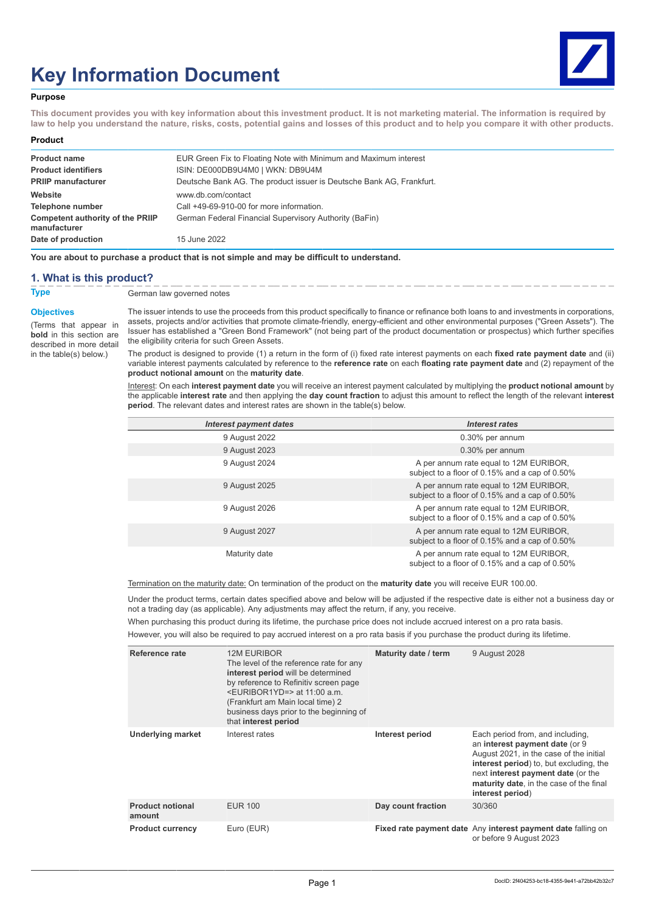# **Key Information Document**



## **Purpose**

**This document provides you with key information about this investment product. It is not marketing material. The information is required by law to help you understand the nature, risks, costs, potential gains and losses of this product and to help you compare it with other products.**

#### **Product**

| <b>Product name</b>                                     | EUR Green Fix to Floating Note with Minimum and Maximum interest     |
|---------------------------------------------------------|----------------------------------------------------------------------|
| <b>Product identifiers</b>                              | ISIN: DE000DB9U4M0   WKN: DB9U4M                                     |
| <b>PRIIP manufacturer</b>                               | Deutsche Bank AG. The product issuer is Deutsche Bank AG, Frankfurt. |
| Website                                                 | www.db.com/contact                                                   |
| Telephone number                                        | Call +49-69-910-00 for more information.                             |
| <b>Competent authority of the PRIIP</b><br>manufacturer | German Federal Financial Supervisory Authority (BaFin)               |
| Date of production                                      | 15 June 2022                                                         |

**You are about to purchase a product that is not simple and may be difficult to understand.**

## **1. What is this product?**

**Type** German law governed notes

### **Objectives**

(Terms that appear in **bold** in this section are described in more detail in the table(s) below.)

The issuer intends to use the proceeds from this product specifically to finance or refinance both loans to and investments in corporations, assets, projects and/or activities that promote climate-friendly, energy-efficient and other environmental purposes ("Green Assets"). The Issuer has established a "Green Bond Framework" (not being part of the product documentation or prospectus) which further specifies the eligibility criteria for such Green Assets.

The product is designed to provide (1) a return in the form of (i) fixed rate interest payments on each **fixed rate payment date** and (ii) variable interest payments calculated by reference to the **reference rate** on each **floating rate payment date** and (2) repayment of the **product notional amount** on the **maturity date**.

Interest: On each **interest payment date** you will receive an interest payment calculated by multiplying the **product notional amount** by the applicable **interest rate** and then applying the **day count fraction** to adjust this amount to reflect the length of the relevant **interest period**. The relevant dates and interest rates are shown in the table(s) below.

| <b>Interest payment dates</b> | Interest rates                                                                           |
|-------------------------------|------------------------------------------------------------------------------------------|
| 9 August 2022                 | 0.30% per annum                                                                          |
| 9 August 2023                 | 0.30% per annum                                                                          |
| 9 August 2024                 | A per annum rate equal to 12M EURIBOR,<br>subject to a floor of 0.15% and a cap of 0.50% |
| 9 August 2025                 | A per annum rate equal to 12M EURIBOR,<br>subject to a floor of 0.15% and a cap of 0.50% |
| 9 August 2026                 | A per annum rate equal to 12M EURIBOR,<br>subject to a floor of 0.15% and a cap of 0.50% |
| 9 August 2027                 | A per annum rate equal to 12M EURIBOR,<br>subject to a floor of 0.15% and a cap of 0.50% |
| Maturity date                 | A per annum rate equal to 12M EURIBOR,<br>subject to a floor of 0.15% and a cap of 0.50% |

Termination on the maturity date: On termination of the product on the **maturity date** you will receive EUR 100.00.

Under the product terms, certain dates specified above and below will be adjusted if the respective date is either not a business day or not a trading day (as applicable). Any adjustments may affect the return, if any, you receive.

When purchasing this product during its lifetime, the purchase price does not include accrued interest on a pro rata basis.

However, you will also be required to pay accrued interest on a pro rata basis if you purchase the product during its lifetime.

| Reference rate                    | <b>12M EURIBOR</b><br>The level of the reference rate for any<br>interest period will be determined<br>by reference to Refinitiv screen page<br>$\leq$ EURIBOR1YD=> at 11:00 a.m.<br>(Frankfurt am Main local time) 2<br>business days prior to the beginning of<br>that interest period | Maturity date / term | 9 August 2028                                                                                                                                                                                                                                                 |
|-----------------------------------|------------------------------------------------------------------------------------------------------------------------------------------------------------------------------------------------------------------------------------------------------------------------------------------|----------------------|---------------------------------------------------------------------------------------------------------------------------------------------------------------------------------------------------------------------------------------------------------------|
| <b>Underlying market</b>          | Interest rates                                                                                                                                                                                                                                                                           | Interest period      | Each period from, and including,<br>an interest payment date (or 9<br>August 2021, in the case of the initial<br>interest period) to, but excluding, the<br>next interest payment date (or the<br>maturity date, in the case of the final<br>interest period) |
| <b>Product notional</b><br>amount | <b>EUR 100</b>                                                                                                                                                                                                                                                                           | Day count fraction   | 30/360                                                                                                                                                                                                                                                        |
| <b>Product currency</b>           | Euro (EUR)                                                                                                                                                                                                                                                                               |                      | Fixed rate payment date Any interest payment date falling on<br>or before 9 August 2023                                                                                                                                                                       |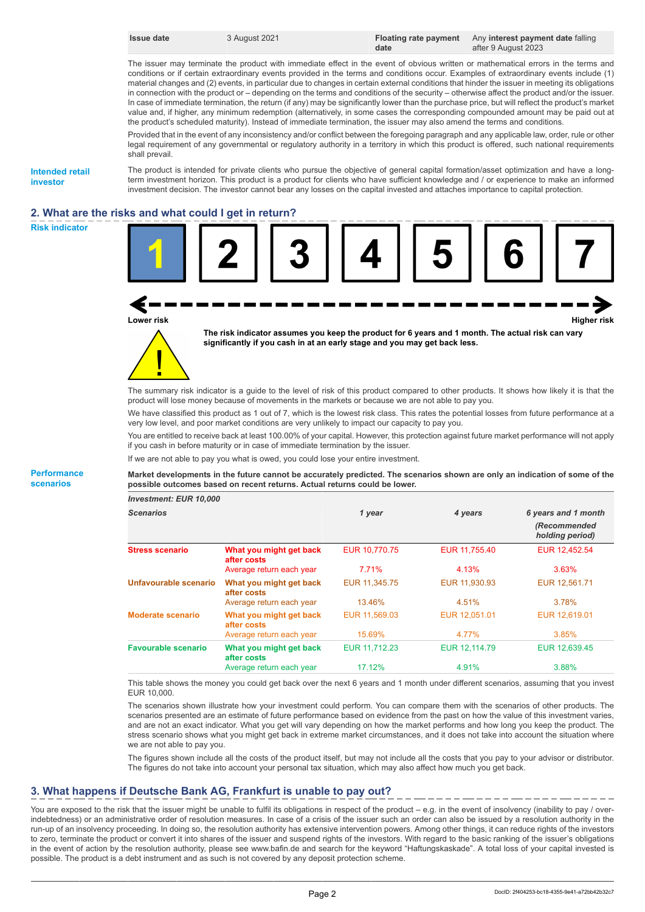| Issue date | 3 August 2021 |      | Floating rate payment Any interest payment date falling |
|------------|---------------|------|---------------------------------------------------------|
|            |               | date | after 9 August 2023                                     |

The issuer may terminate the product with immediate effect in the event of obvious written or mathematical errors in the terms and conditions or if certain extraordinary events provided in the terms and conditions occur. Examples of extraordinary events include (1) material changes and (2) events, in particular due to changes in certain external conditions that hinder the issuer in meeting its obligations in connection with the product or – depending on the terms and conditions of the security – otherwise affect the product and/or the issuer. In case of immediate termination, the return (if any) may be significantly lower than the purchase price, but will reflect the product's market value and, if higher, any minimum redemption (alternatively, in some cases the corresponding compounded amount may be paid out at the product's scheduled maturity). Instead of immediate termination, the issuer may also amend the terms and conditions.

Provided that in the event of any inconsistency and/or conflict between the foregoing paragraph and any applicable law, order, rule or other legal requirement of any governmental or regulatory authority in a territory in which this product is offered, such national requirements shall prevail.

**Intended retail investor**

The product is intended for private clients who pursue the objective of general capital formation/asset optimization and have a longterm investment horizon. This product is a product for clients who have sufficient knowledge and / or experience to make an informed investment decision. The investor cannot bear any losses on the capital invested and attaches importance to capital protection.

# **2. What are the risks and what could I get in return?**







**The risk indicator assumes you keep the product for 6 years and 1 month. The actual risk can vary significantly if you cash in at an early stage and you may get back less.**



The summary risk indicator is a guide to the level of risk of this product compared to other products. It shows how likely it is that the product will lose money because of movements in the markets or because we are not able to pay you.

We have classified this product as 1 out of 7, which is the lowest risk class. This rates the potential losses from future performance at a very low level, and poor market conditions are very unlikely to impact our capacity to pay you.

You are entitled to receive back at least 100.00% of your capital. However, this protection against future market performance will not apply if you cash in before maturity or in case of immediate termination by the issuer.

If we are not able to pay you what is owed, you could lose your entire investment.

**Market developments in the future cannot be accurately predicted. The scenarios shown are only an indication of some of the possible outcomes based on recent returns. Actual returns could be lower.**

| <b>Investment: EUR 10,000</b> |                                        |               |               |                                                        |
|-------------------------------|----------------------------------------|---------------|---------------|--------------------------------------------------------|
| <b>Scenarios</b>              |                                        | 1 year        | 4 years       | 6 years and 1 month<br>(Recommended<br>holding period) |
| <b>Stress scenario</b>        | What you might get back<br>after costs | EUR 10,770.75 | EUR 11,755.40 | EUR 12,452.54                                          |
|                               | Average return each year               | 7.71%         | 4.13%         | 3.63%                                                  |
| Unfavourable scenario         | What you might get back<br>after costs | EUR 11,345.75 | EUR 11,930.93 | EUR 12,561.71                                          |
|                               | Average return each year               | 13.46%        | 4.51%         | 3.78%                                                  |
| Moderate scenario             | What you might get back<br>after costs | EUR 11,569.03 | EUR 12.051.01 | EUR 12.619.01                                          |
|                               | Average return each year               | 15.69%        | 4.77%         | 3.85%                                                  |
| <b>Favourable scenario</b>    | What you might get back<br>after costs | EUR 11.712.23 | EUR 12.114.79 | EUR 12,639.45                                          |
|                               | Average return each year               | 17.12%        | 4.91%         | 3.88%                                                  |

This table shows the money you could get back over the next 6 years and 1 month under different scenarios, assuming that you invest EUR 10,000.

The scenarios shown illustrate how your investment could perform. You can compare them with the scenarios of other products. The scenarios presented are an estimate of future performance based on evidence from the past on how the value of this investment varies, and are not an exact indicator. What you get will vary depending on how the market performs and how long you keep the product. The stress scenario shows what you might get back in extreme market circumstances, and it does not take into account the situation where we are not able to pay you.

The figures shown include all the costs of the product itself, but may not include all the costs that you pay to your advisor or distributor. The figures do not take into account your personal tax situation, which may also affect how much you get back.

# **3. What happens if Deutsche Bank AG, Frankfurt is unable to pay out?**

You are exposed to the risk that the issuer might be unable to fulfil its obligations in respect of the product – e.g. in the event of insolvency (inability to pay / overindebtedness) or an administrative order of resolution measures. In case of a crisis of the issuer such an order can also be issued by a resolution authority in the run-up of an insolvency proceeding. In doing so, the resolution authority has extensive intervention powers. Among other things, it can reduce rights of the investors to zero, terminate the product or convert it into shares of the issuer and suspend rights of the investors. With regard to the basic ranking of the issuer's obligations in the event of action by the resolution authority, please see www.bafin.de and search for the keyword "Haftungskaskade". A total loss of your capital invested is possible. The product is a debt instrument and as such is not covered by any deposit protection scheme.

**Performance scenarios**